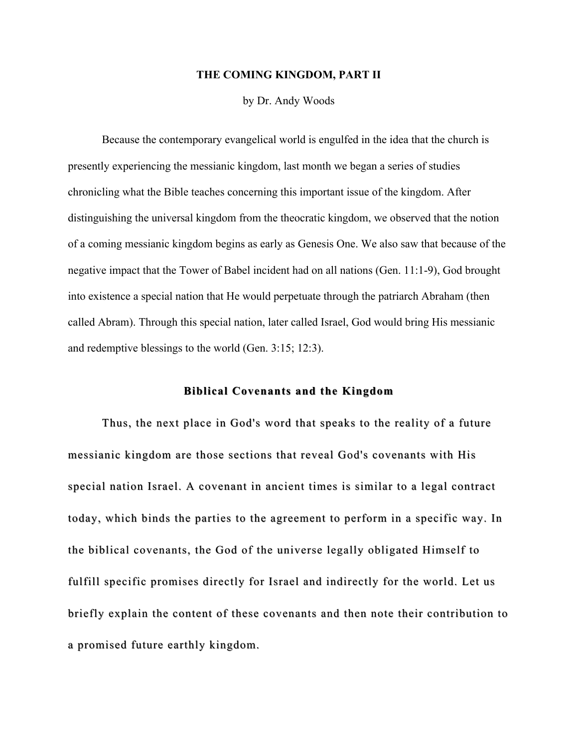### **THE COMING KINGDOM, PART II**

by Dr. Andy Woods

Because the contemporary evangelical world is engulfed in the idea that the church is presently experiencing the messianic kingdom, last month we began a series of studies chronicling what the Bible teaches concerning this important issue of the kingdom. After distinguishing the universal kingdom from the theocratic kingdom, we observed that the notion of a coming messianic kingdom begins as early as Genesis One. We also saw that because of the negative impact that the Tower of Babel incident had on all nations (Gen. 11:1-9), God brought into existence a special nation that He would perpetuate through the patriarch Abraham (then called Abram). Through this special nation, later called Israel, God would bring His messianic and redemptive blessings to the world (Gen. 3:15; 12:3).

# **Biblical Covenants and the Kingdom**

Thus, the next place in God's word that speaks to the reality of a future messianic kingdom are those sections that reveal God's covenants with His special nation Israel. A covenant in ancient times is similar to a legal contract today, which binds the parties to the agreement to perform in a specific way. In the biblical covenants, the God of the universe legally obligated Himself to fulfill specific promises directly for Israel and indirectly for the world. Let us briefly explain the content of these covenants and then note their contribution to a promised future earthly kingdom.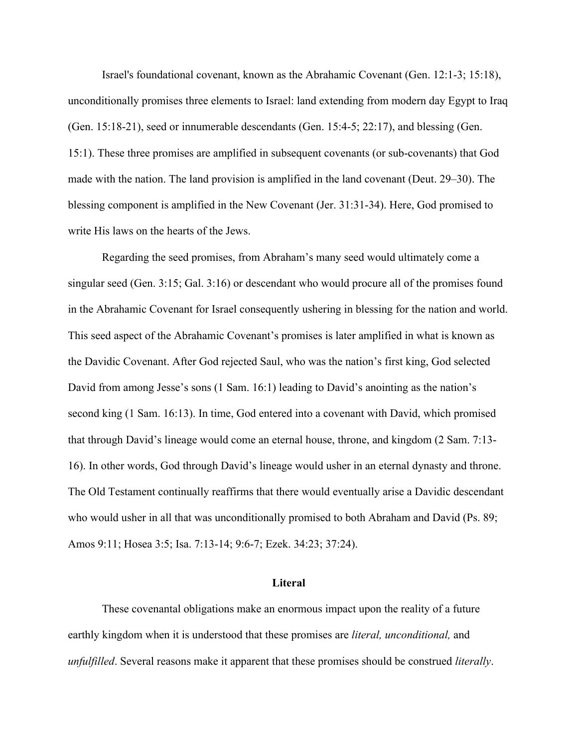Israel's foundational covenant, known as the Abrahamic Covenant (Gen. 12:1-3; 15:18), unconditionally promises three elements to Israel: land extending from modern day Egypt to Iraq (Gen. 15:18-21), seed or innumerable descendants (Gen. 15:4-5; 22:17), and blessing (Gen. 15:1). These three promises are amplified in subsequent covenants (or sub-covenants) that God made with the nation. The land provision is amplified in the land covenant (Deut. 29–30). The blessing component is amplified in the New Covenant (Jer. 31:31-34). Here, God promised to write His laws on the hearts of the Jews.

Regarding the seed promises, from Abraham's many seed would ultimately come a singular seed (Gen. 3:15; Gal. 3:16) or descendant who would procure all of the promises found in the Abrahamic Covenant for Israel consequently ushering in blessing for the nation and world. This seed aspect of the Abrahamic Covenant's promises is later amplified in what is known as the Davidic Covenant. After God rejected Saul, who was the nation's first king, God selected David from among Jesse's sons (1 Sam. 16:1) leading to David's anointing as the nation's second king (1 Sam. 16:13). In time, God entered into a covenant with David, which promised that through David's lineage would come an eternal house, throne, and kingdom (2 Sam. 7:13- 16). In other words, God through David's lineage would usher in an eternal dynasty and throne. The Old Testament continually reaffirms that there would eventually arise a Davidic descendant who would usher in all that was unconditionally promised to both Abraham and David (Ps. 89; Amos 9:11; Hosea 3:5; Isa. 7:13-14; 9:6-7; Ezek. 34:23; 37:24).

### **Literal**

These covenantal obligations make an enormous impact upon the reality of a future earthly kingdom when it is understood that these promises are *literal, unconditional,* and *unfulfilled*. Several reasons make it apparent that these promises should be construed *literally*.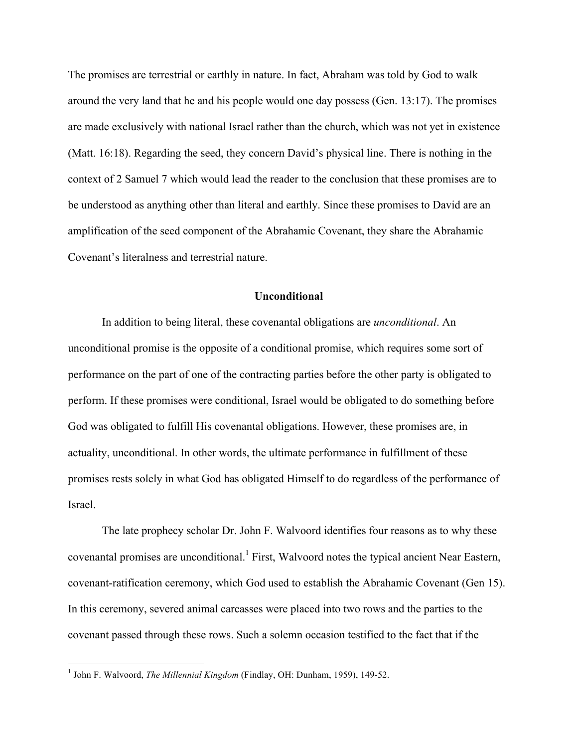The promises are terrestrial or earthly in nature. In fact, Abraham was told by God to walk around the very land that he and his people would one day possess (Gen. 13:17). The promises are made exclusively with national Israel rather than the church, which was not yet in existence (Matt. 16:18). Regarding the seed, they concern David's physical line. There is nothing in the context of 2 Samuel 7 which would lead the reader to the conclusion that these promises are to be understood as anything other than literal and earthly. Since these promises to David are an amplification of the seed component of the Abrahamic Covenant, they share the Abrahamic Covenant's literalness and terrestrial nature.

# **Unconditional**

In addition to being literal, these covenantal obligations are *unconditional*. An unconditional promise is the opposite of a conditional promise, which requires some sort of performance on the part of one of the contracting parties before the other party is obligated to perform. If these promises were conditional, Israel would be obligated to do something before God was obligated to fulfill His covenantal obligations. However, these promises are, in actuality, unconditional. In other words, the ultimate performance in fulfillment of these promises rests solely in what God has obligated Himself to do regardless of the performance of Israel.

The late prophecy scholar Dr. John F. Walvoord identifies four reasons as to why these covenantal promises are unconditional.<sup>1</sup> First, Walvoord notes the typical ancient Near Eastern, covenant-ratification ceremony, which God used to establish the Abrahamic Covenant (Gen 15). In this ceremony, severed animal carcasses were placed into two rows and the parties to the covenant passed through these rows. Such a solemn occasion testified to the fact that if the

 <sup>1</sup> John F. Walvoord, *The Millennial Kingdom* (Findlay, OH: Dunham, 1959), 149-52.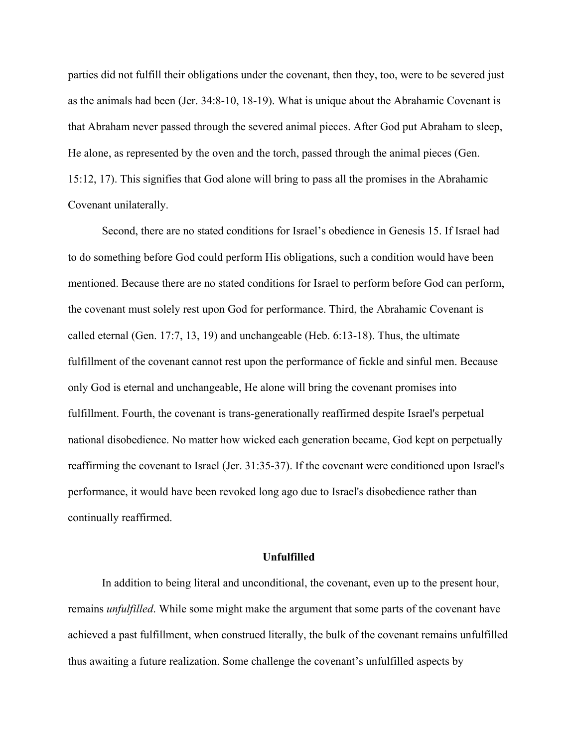parties did not fulfill their obligations under the covenant, then they, too, were to be severed just as the animals had been (Jer. 34:8-10, 18-19). What is unique about the Abrahamic Covenant is that Abraham never passed through the severed animal pieces. After God put Abraham to sleep, He alone, as represented by the oven and the torch, passed through the animal pieces (Gen. 15:12, 17). This signifies that God alone will bring to pass all the promises in the Abrahamic Covenant unilaterally.

Second, there are no stated conditions for Israel's obedience in Genesis 15. If Israel had to do something before God could perform His obligations, such a condition would have been mentioned. Because there are no stated conditions for Israel to perform before God can perform, the covenant must solely rest upon God for performance. Third, the Abrahamic Covenant is called eternal (Gen. 17:7, 13, 19) and unchangeable (Heb. 6:13-18). Thus, the ultimate fulfillment of the covenant cannot rest upon the performance of fickle and sinful men. Because only God is eternal and unchangeable, He alone will bring the covenant promises into fulfillment. Fourth, the covenant is trans-generationally reaffirmed despite Israel's perpetual national disobedience. No matter how wicked each generation became, God kept on perpetually reaffirming the covenant to Israel (Jer. 31:35-37). If the covenant were conditioned upon Israel's performance, it would have been revoked long ago due to Israel's disobedience rather than continually reaffirmed.

### **Unfulfilled**

In addition to being literal and unconditional, the covenant, even up to the present hour, remains *unfulfilled*. While some might make the argument that some parts of the covenant have achieved a past fulfillment, when construed literally, the bulk of the covenant remains unfulfilled thus awaiting a future realization. Some challenge the covenant's unfulfilled aspects by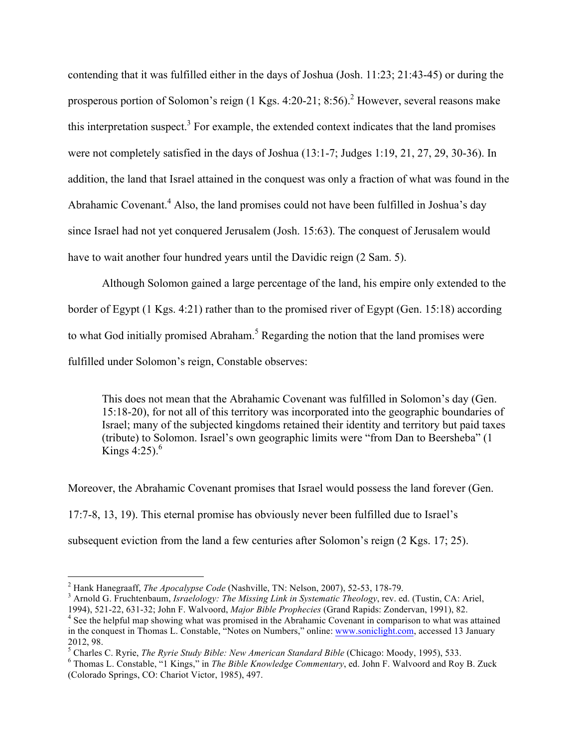contending that it was fulfilled either in the days of Joshua (Josh. 11:23; 21:43-45) or during the prosperous portion of Solomon's reign  $(1 \text{ Kgs. } 4:20-21; 8:56).$ <sup>2</sup> However, several reasons make this interpretation suspect.<sup>3</sup> For example, the extended context indicates that the land promises were not completely satisfied in the days of Joshua (13:1-7; Judges 1:19, 21, 27, 29, 30-36). In addition, the land that Israel attained in the conquest was only a fraction of what was found in the Abrahamic Covenant.<sup>4</sup> Also, the land promises could not have been fulfilled in Joshua's day since Israel had not yet conquered Jerusalem (Josh. 15:63). The conquest of Jerusalem would have to wait another four hundred years until the Davidic reign (2 Sam. 5).

Although Solomon gained a large percentage of the land, his empire only extended to the border of Egypt (1 Kgs. 4:21) rather than to the promised river of Egypt (Gen. 15:18) according to what God initially promised Abraham.<sup>5</sup> Regarding the notion that the land promises were fulfilled under Solomon's reign, Constable observes:

This does not mean that the Abrahamic Covenant was fulfilled in Solomon's day (Gen. 15:18-20), for not all of this territory was incorporated into the geographic boundaries of Israel; many of the subjected kingdoms retained their identity and territory but paid taxes (tribute) to Solomon. Israel's own geographic limits were "from Dan to Beersheba" (1 Kings 4:25). $^{6}$ 

Moreover, the Abrahamic Covenant promises that Israel would possess the land forever (Gen. 17:7-8, 13, 19). This eternal promise has obviously never been fulfilled due to Israel's subsequent eviction from the land a few centuries after Solomon's reign (2 Kgs. 17; 25).

<sup>&</sup>lt;sup>2</sup> Hank Hanegraaff, *The Apocalypse Code* (Nashville, TN: Nelson, 2007), 52-53, 178-79.<br><sup>3</sup> Arnold G. Fruchtenbaum, *Israelology: The Missing Link in Systematic Theology*, rev. ed. (Tustin, CA: Ariel, 1994), 521-22, 631-3

<sup>&</sup>lt;sup>4</sup> See the helpful map showing what was promised in the Abrahamic Covenant in comparison to what was attained in the conquest in Thomas L. Constable, "Notes on Numbers," online: www.soniclight.com, accessed 13 January 2012, 98.<br><sup>5</sup> Charles C. Ryrie, *The Ryrie Study Bible: New American Standard Bible* (Chicago: Moody, 1995), 533.<br><sup>6</sup> Thomas L. Constable, "1 Kings," in *The Bible Knowledge Commentary*, ed. John F. Walvoord and Roy B. Zuc

<sup>(</sup>Colorado Springs, CO: Chariot Victor, 1985), 497.